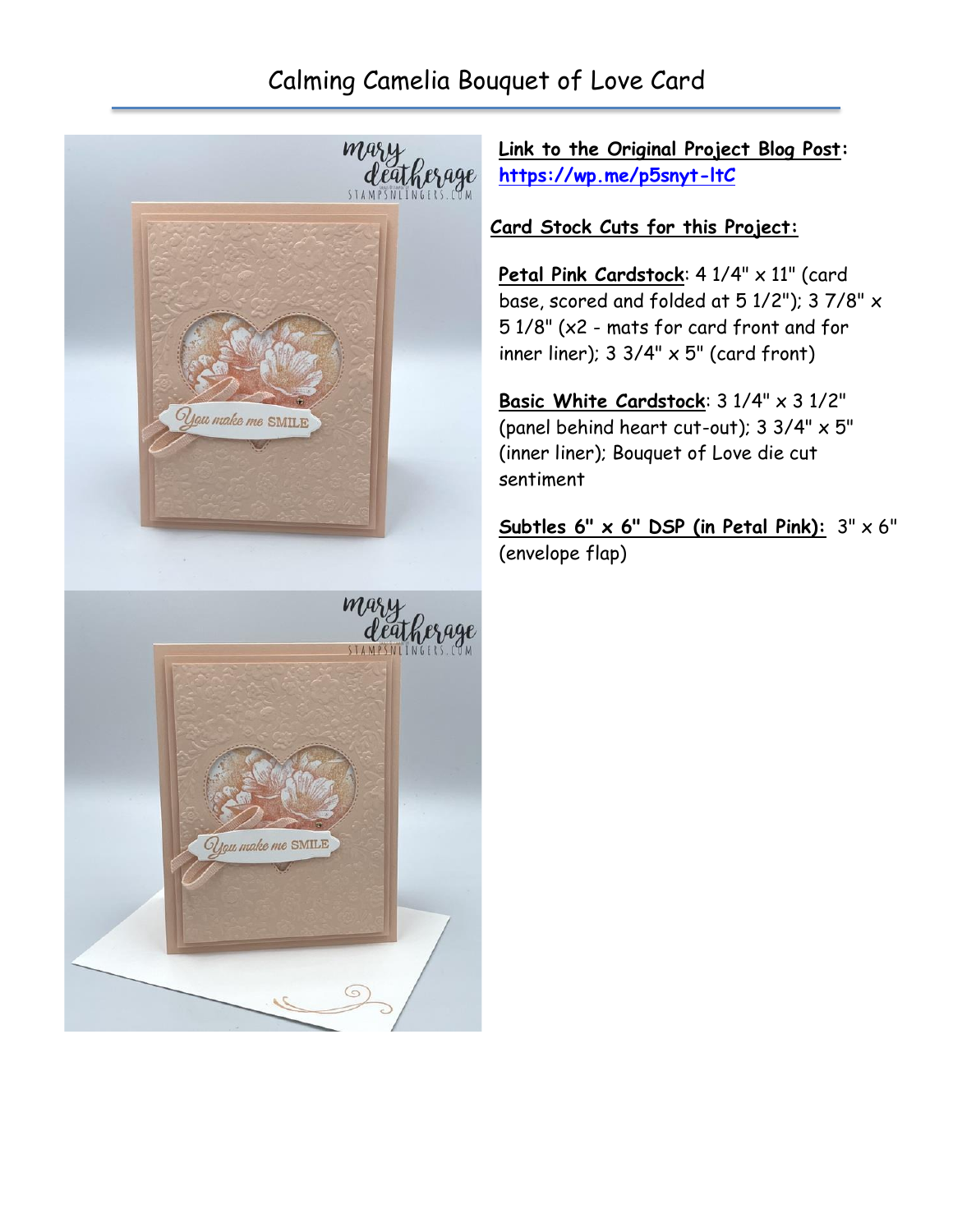## Calming Camelia Bouquet of Love Card



**Link to the Original Project Blog Post: <https://wp.me/p5snyt-ltC>**

## **Card Stock Cuts for this Project:**

Petal Pink Cardstock: 4 1/4" x 11" (card base, scored and folded at 5 1/2"); 3 7/8" x 5 1/8" (x2 - mats for card front and for inner liner);  $3 \frac{3}{4}$ "  $\times$   $5$ " (card front)

**Basic White Cardstock**: 3 1/4" x 3 1/2" (panel behind heart cut-out); 3 3/4" x 5" (inner liner); Bouquet of Love die cut sentiment

**Subtles 6" x 6" DSP (in Petal Pink):** 3" x 6" (envelope flap)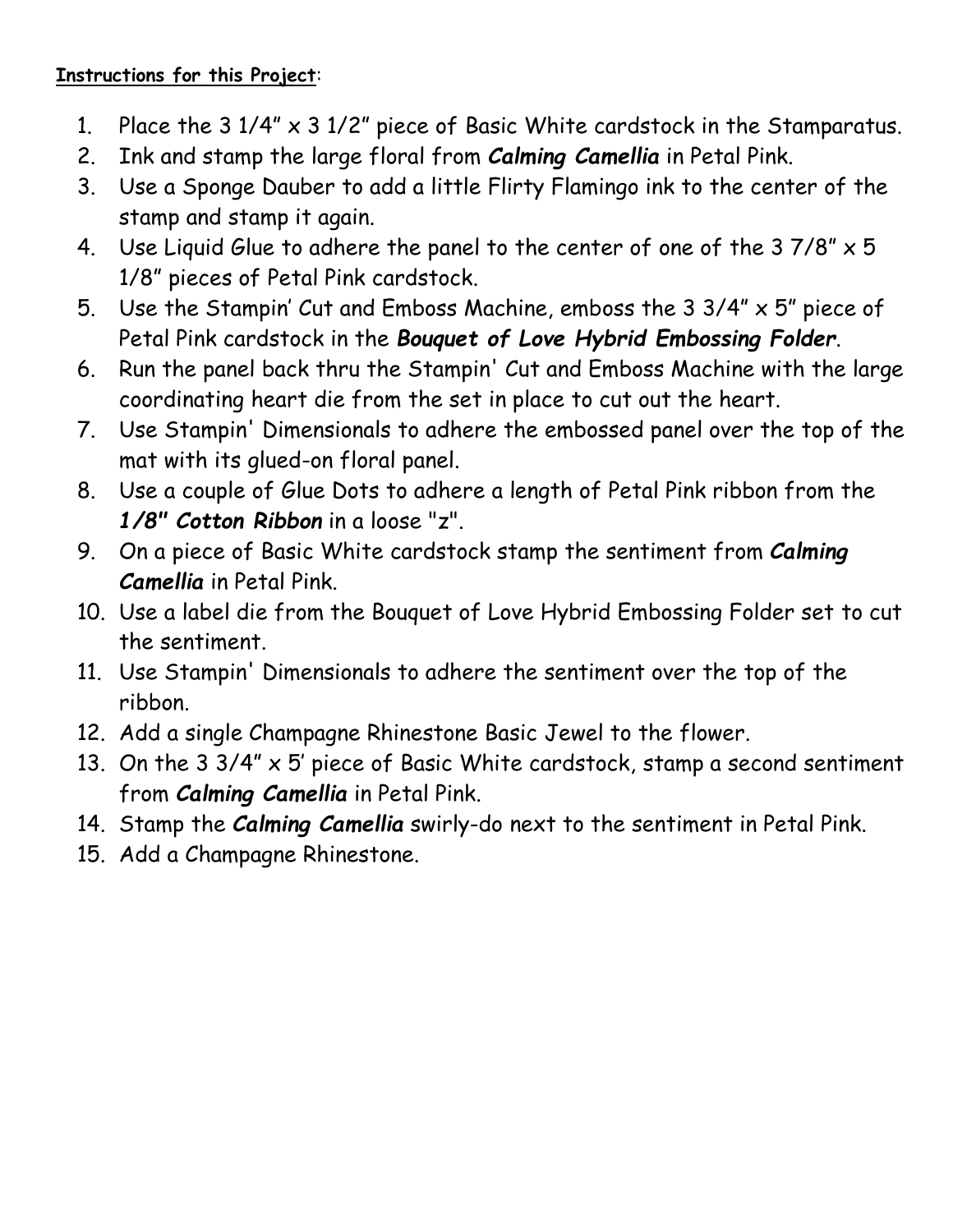## **Instructions for this Project**:

- 1. Place the  $3 \frac{1}{4} \times 3 \frac{1}{2}$  piece of Basic White cardstock in the Stamparatus.
- 2. Ink and stamp the large floral from *Calming Camellia* in Petal Pink.
- 3. Use a Sponge Dauber to add a little Flirty Flamingo ink to the center of the stamp and stamp it again.
- 4. Use Liguid Glue to adhere the panel to the center of one of the  $37/8" \times 5$ 1/8" pieces of Petal Pink cardstock.
- 5. Use the Stampin' Cut and Emboss Machine, emboss the 3 3/4" x 5" piece of Petal Pink cardstock in the *Bouquet of Love Hybrid Embossing Folder*.
- 6. Run the panel back thru the Stampin' Cut and Emboss Machine with the large coordinating heart die from the set in place to cut out the heart.
- 7. Use Stampin' Dimensionals to adhere the embossed panel over the top of the mat with its glued-on floral panel.
- 8. Use a couple of Glue Dots to adhere a length of Petal Pink ribbon from the *1/8" Cotton Ribbon* in a loose "z".
- 9. On a piece of Basic White cardstock stamp the sentiment from *Calming Camellia* in Petal Pink.
- 10. Use a label die from the Bouquet of Love Hybrid Embossing Folder set to cut the sentiment.
- 11. Use Stampin' Dimensionals to adhere the sentiment over the top of the ribbon.
- 12. Add a single Champagne Rhinestone Basic Jewel to the flower.
- 13. On the 3 3/4" x 5' piece of Basic White cardstock, stamp a second sentiment from *Calming Camellia* in Petal Pink.
- 14. Stamp the *Calming Camellia* swirly-do next to the sentiment in Petal Pink.
- 15. Add a Champagne Rhinestone.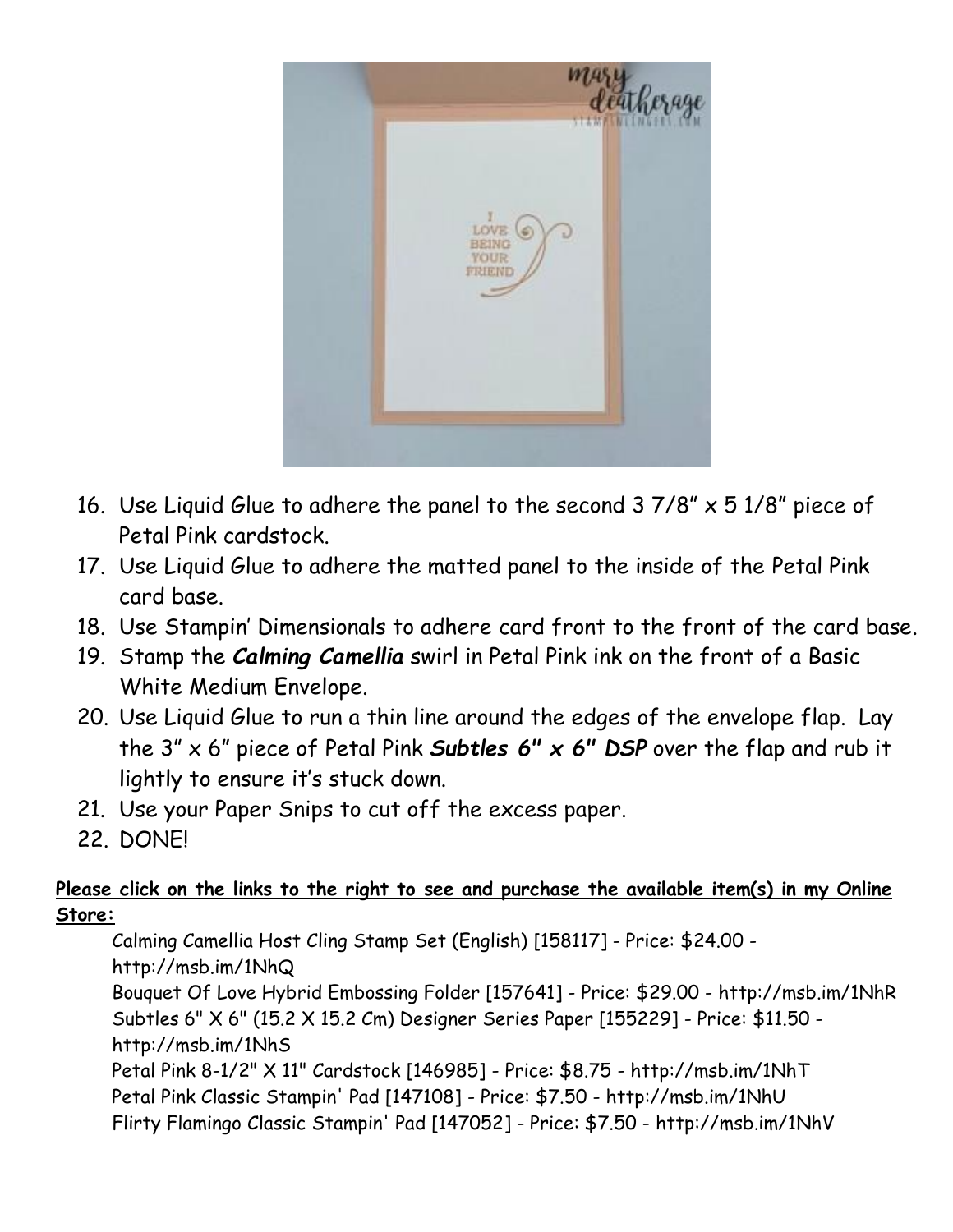

- 16. Use Liquid Glue to adhere the panel to the second 3 7/8" x 5 1/8" piece of Petal Pink cardstock.
- 17. Use Liquid Glue to adhere the matted panel to the inside of the Petal Pink card base.
- 18. Use Stampin' Dimensionals to adhere card front to the front of the card base.
- 19. Stamp the *Calming Camellia* swirl in Petal Pink ink on the front of a Basic White Medium Envelope.
- 20. Use Liquid Glue to run a thin line around the edges of the envelope flap. Lay the 3" x 6" piece of Petal Pink *Subtles 6" x 6" DSP* over the flap and rub it lightly to ensure it's stuck down.
- 21. Use your Paper Snips to cut off the excess paper.
- 22. DONE!

## **Please click on the links to the right to see and purchase the available item(s) in my Online Store:**

Calming Camellia Host Cling Stamp Set (English) [158117] - Price: \$24.00 http://msb.im/1NhQ Bouquet Of Love Hybrid Embossing Folder [157641] - Price: \$29.00 - http://msb.im/1NhR Subtles 6" X 6" (15.2 X 15.2 Cm) Designer Series Paper [155229] - Price: \$11.50 http://msb.im/1NhS Petal Pink 8-1/2" X 11" Cardstock [146985] - Price: \$8.75 - http://msb.im/1NhT Petal Pink Classic Stampin' Pad [147108] - Price: \$7.50 - http://msb.im/1NhU Flirty Flamingo Classic Stampin' Pad [147052] - Price: \$7.50 - http://msb.im/1NhV